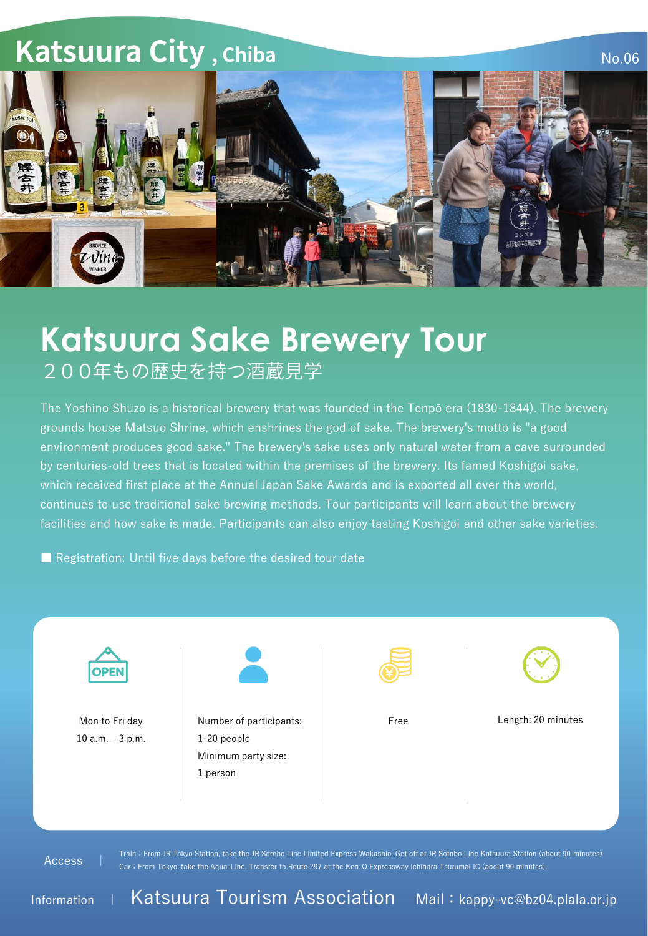## **Katsuura City, Chiba**



No.06

## **Katsuura Sake Brewery Tour**<br>200年もの歴史を持つ酒蔵見学

The Yoshino Shuzo is a historical brewery that was founded in the Tenpō era (1830-1844). The brewery grounds house Matsuo Shrine, which enshrines the god of sake. The brewery's motto is "a good environment produces good sake." The brewery's sake uses only natural water from a cave surrounded by centuries-old trees that is located within the premises of the brewery. Its famed Koshigoi sake, which received first place at the Annual Japan Sake Awards and is exported all over the world, continues to use traditional sake brewing methods. Tour participants will learn about the brewery facilities and how sake is made. Participants can also enjoy tasting Koshigoi and other sake varieties.

■ Registration: Until five days before the desired tour date



Access |

Train:From JR Tokyo Station, take the JR Sotobo Line Limited Express Wakashio. Get off at JR Sotobo Line Katsuura Station (about 90 minutes) Car:From Tokyo, take the Aqua-Line. Transfer to Route 297 at the Ken-O Expressway Ichihara Tsurumai IC (about 90 minutes).

Information <sup>|</sup> Katsuura Tourism Association Mail:kappy-vc@bz04.plala.or.jp